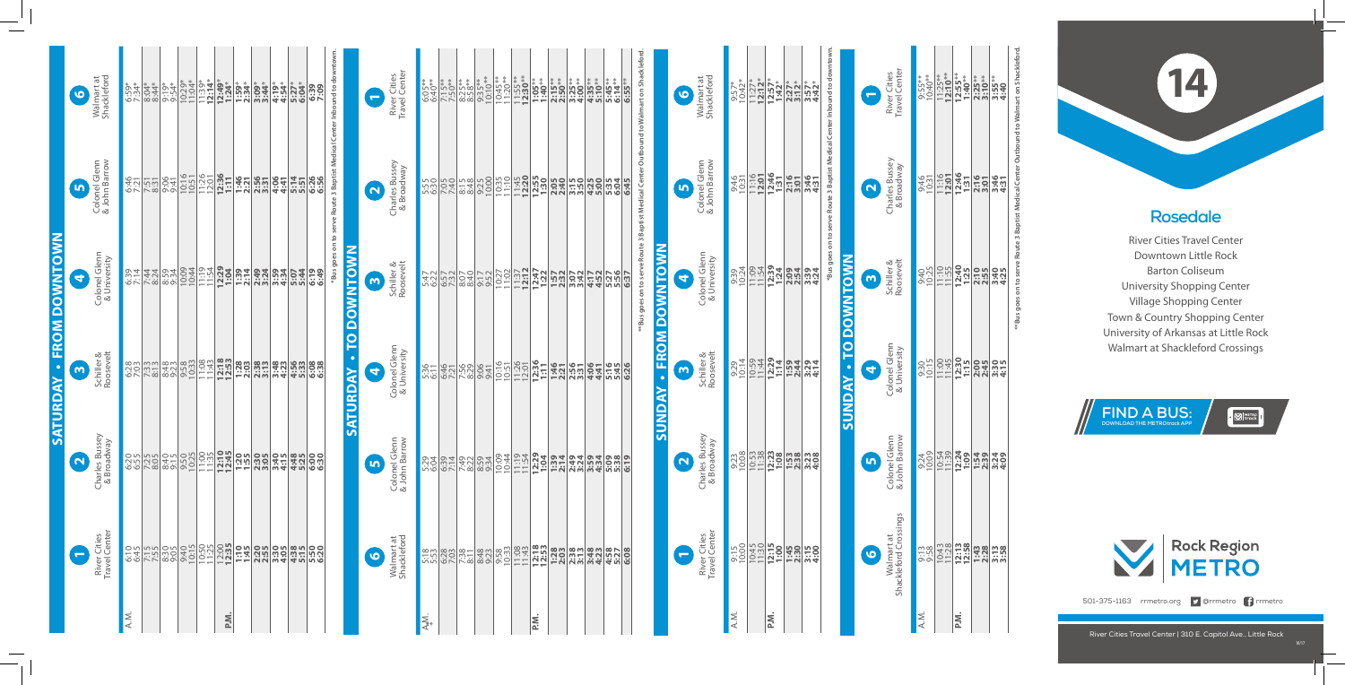## **Rosedale**

River Cities Travel Center Downtown Little Rock Barton Coliseum University Shopping Center Village Shopping Center Town & Country Shopping Center University of Arkansas at Little Rock Walmart at Shackleford Crossings

**14**

River Cities Travel Center | 310 E. Capitol Ave., Little Rock



 $\cdot$   $\boxtimes$  Metrock



501-375-1163 rrmetro.org **y** @rrmetro frrmetro

**SUNDAY • FROM DOWNTOWN**

 $\ddot{\phantom{a}}$ 

*SUNDAY* 

**FROM DOWNTOWN** 

|                                                                                               |                                                                    |                               | <b>SUNDAY - TO DOWNTOWN</b>                 |                              |                                                               |      |
|-----------------------------------------------------------------------------------------------|--------------------------------------------------------------------|-------------------------------|---------------------------------------------|------------------------------|---------------------------------------------------------------|------|
|                                                                                               | "Bus goes on to serve Route 3 Baptist Medical Center Inbound to do |                               |                                             |                              |                                                               |      |
|                                                                                               |                                                                    |                               |                                             |                              |                                                               |      |
| $3:57*$<br>4:42*                                                                              | 3:46<br>4:31                                                       | 3:39<br>4:24                  | 3:29<br>4:14                                | 3:28<br>4:08                 |                                                               |      |
|                                                                                               |                                                                    |                               |                                             |                              |                                                               |      |
|                                                                                               | 2:16                                                               | 2:54                          | $\frac{12.29}{1.14}$<br>$\frac{1.79}{1.34}$ | $1:53$<br>$2:38$             |                                                               |      |
|                                                                                               | 12:46<br>1:31                                                      | $12:39$<br>$1:24$             |                                             | <b>12:23</b><br>1:08         |                                                               |      |
|                                                                                               |                                                                    |                               |                                             |                              |                                                               | ≳ٌ   |
| $\begin{array}{c} 11.27^* \\ 12.12^* \\ 12.57^* \\ 12.37^* \\ 12.37^* \\ 12.37^* \end{array}$ | $11:16$<br>12:01                                                   | 11:54                         | 10:59<br>11:44                              | 10:53                        | eder <b>150 150 150</b><br>200 150 150 150<br>200 150 150 150 |      |
|                                                                                               |                                                                    |                               |                                             |                              |                                                               |      |
| $9:57*$<br>$10:42*$                                                                           | 9:46<br>10:31                                                      | 9:39<br>10:24                 | $\frac{9:29}{10:14}$                        | 9:23<br>10:08                |                                                               |      |
|                                                                                               |                                                                    |                               |                                             |                              |                                                               | A.M. |
| Shackleford                                                                                   | & John Barrow                                                      | Colonel Glenn<br>& University | Roosevelt<br>Schiller &                     | Charles Bussey<br>& Broadway | River Cities<br>Travel Center                                 |      |
| Walmart at<br>$\bullet$                                                                       | Colonel Glenn<br>$\blacksquare$                                    | $\mathbf{A}$                  | $\mathsf{m}$                                | $\alpha$                     |                                                               |      |
|                                                                                               |                                                                    |                               |                                             |                              |                                                               |      |

Colonel Glenn<br>& University Colonel Glenn **4**

Colonel Glenn<br>& John Barrow Colonel Glenn & John Barrow <u>เก</u>

<u>ო</u> Schiller & Roosevelt

> Walmart at<br>Shackleford Crossings Shackleford Crossings Walmart at

|      |                               |                              |                         | <b>SATURDAY - FROM DOWNTOWN</b> |                                                                           |                           |
|------|-------------------------------|------------------------------|-------------------------|---------------------------------|---------------------------------------------------------------------------|---------------------------|
|      | 8                             |                              | $\mathsf{m}$            | G                               | $\bullet$                                                                 | $\bullet$                 |
|      | River Cities<br>Travel Center | Charles Bussey<br>& Broadway | Schiller &<br>Roosevelt | Colonel Glenn<br>& University   | Colonel Glenn<br>& John Barrow                                            | Walmart at<br>Shackleford |
| A.M. | 6:45                          | 6:55                         | 6:28                    | 6:39<br>7:14                    | 6:46<br>7:21                                                              | 6:59*                     |
|      | 7:15                          | 7:25                         | $7:33$<br>8:13          | 7:44<br>8:24                    | $\frac{7:51}{8:31}$                                                       | 8:04*<br>8:44*            |
|      | 8:305                         | 8:40<br>9:15                 | 8:48<br>9:23            | 8:59<br>9:34                    | 9:41                                                                      | $9:19*$<br>$9:54*$        |
|      | 9:40<br>10:15                 | 9:50<br>10:25                | 9:58<br>10:33           | 10:09                           | 10:16                                                                     | 10:29*<br>11:04*          |
|      | 10:50                         | $\frac{11.30}{11.35}$        | 11:08                   | 11:19<br>11:54                  | 11:26                                                                     | $11:39*$<br>12:14*        |
| P.M. | 12:00<br>12:35                | 12:10                        | 12:18                   | 12:29<br>1:04                   | 12:36<br>1:11                                                             | $72:49*$<br>$7:24*$       |
|      | 1:19                          | 1:55                         | 1:28                    | 1:39<br>2:14                    | $\frac{1:46}{2:21}$                                                       | $1:59*$<br>2:34*          |
|      | 2:255                         | 2:305                        | $2:38$<br>$3:13$        | 2:49<br>3:24                    | 2:56<br>3:31                                                              | 3:09*<br>3:44*            |
|      | 3:305                         | 3:40<br>4:15                 | 3:48<br>4:23            | 3:59<br>4:34                    | 4:41<br>4:41                                                              | 4:19*<br>4:54*            |
|      | $4:38$<br>5:15                | 4:48<br>5:25                 | 4:56<br>5:33            | 5:44                            | 5:514                                                                     | 5:27*<br>6:04*            |
|      | 5:50<br>6:20                  | 6:30                         | 6:08<br>6:38            | 6:49                            | 6:36<br>6:56                                                              | 6:39                      |
|      |                               |                              |                         |                                 | *Bus goes on to serve Route 3 Baptist Medical Center Inbound to downtown. |                           |

|    | ិន <u>្ទី ខ្លួន ដូច</u><br>ទីន <mark>្ទី ខ្លួន ដូច</mark><br>ទីន <mark>្ទី ខ្លួន ដូច</mark> |  | $\frac{955}{255}$<br>$\frac{1}{255}$<br>$\frac{1}{255}$<br>$\frac{1}{255}$<br>$\frac{1}{255}$<br>$\frac{1}{255}$<br>$\frac{1}{255}$<br>$\frac{1}{255}$<br>$\frac{1}{255}$<br>$\frac{1}{255}$<br>$\frac{1}{255}$ |                                                                                           | $\begin{array}{l} 9:55**\\ 9:40**\\ 11:210**\\ 12:10**\\ 12:310**\\ 13:310**\\ 14:310**\\ 15:540\\ 13:540\\ 14:0\\ 15:0\\ 14:0\\ 14:0\\ 14:0\\ 14:0\\ 14:0\\ 14:0\\ 14:0\\ 14:0\\ 14:0\\ 14:0\\ 14:0\\ 14:0\\ 14:0\\ 14:0\\ 14:0\\ 14:0\\ 14:0\\ 14:0\\ 14:0\\ 14:0\\ 14:0\\ $ |
|----|---------------------------------------------------------------------------------------------|--|-----------------------------------------------------------------------------------------------------------------------------------------------------------------------------------------------------------------|-------------------------------------------------------------------------------------------|--------------------------------------------------------------------------------------------------------------------------------------------------------------------------------------------------------------------------------------------------------------------------------|
|    |                                                                                             |  |                                                                                                                                                                                                                 |                                                                                           |                                                                                                                                                                                                                                                                                |
|    |                                                                                             |  |                                                                                                                                                                                                                 |                                                                                           |                                                                                                                                                                                                                                                                                |
| Σă |                                                                                             |  |                                                                                                                                                                                                                 |                                                                                           |                                                                                                                                                                                                                                                                                |
|    |                                                                                             |  |                                                                                                                                                                                                                 |                                                                                           |                                                                                                                                                                                                                                                                                |
|    |                                                                                             |  |                                                                                                                                                                                                                 |                                                                                           |                                                                                                                                                                                                                                                                                |
|    |                                                                                             |  |                                                                                                                                                                                                                 |                                                                                           |                                                                                                                                                                                                                                                                                |
|    |                                                                                             |  |                                                                                                                                                                                                                 |                                                                                           |                                                                                                                                                                                                                                                                                |
|    |                                                                                             |  |                                                                                                                                                                                                                 |                                                                                           |                                                                                                                                                                                                                                                                                |
|    |                                                                                             |  |                                                                                                                                                                                                                 | **Bus goes on to serve Route 3 Baptist Medical Center Outbound to Walmart on Shackleford. |                                                                                                                                                                                                                                                                                |

**6**

**1**

River Cities Travel Center

River Citie<br>Travel Cen

& University

10/1

|                        | C                   | River Cities<br>Travel Center  | $6:05**$ | $7:15***$<br>7:50**                                                                                                                                                                                                                                                                                 | $8:25**$<br>$8:58**$                                  | $9:35**$<br>10:10** | 10:45**<br>11:20**    | $11:55**$<br>12:30** | $1:05***$                                     | $2:15***$<br>$2:50***$ | $3:25***$        | $4:35**$<br>5:10**                                          | 5:45 ***     | 6:55** |
|------------------------|---------------------|--------------------------------|----------|-----------------------------------------------------------------------------------------------------------------------------------------------------------------------------------------------------------------------------------------------------------------------------------------------------|-------------------------------------------------------|---------------------|-----------------------|----------------------|-----------------------------------------------|------------------------|------------------|-------------------------------------------------------------|--------------|--------|
|                        | $\Omega$            | Charles Bussey<br>& Broadway   |          | $\begin{array}{l} 25.88 \\ 25.88 \\ 25.88 \\ 25.88 \\ 25.88 \\ 25.88 \\ 25.88 \\ 25.88 \\ 25.88 \\ 25.88 \\ 25.88 \\ 25.88 \\ 25.88 \\ 25.88 \\ 25.88 \\ 25.88 \\ 25.88 \\ 25.88 \\ 25.88 \\ 25.88 \\ 25.88 \\ 25.88 \\ 25.88 \\ 25.88 \\ 25.88 \\ 25.88 \\ 25.88 \\ 25.88 \\ 25.88 \\ 25.88 \\ 25$ |                                                       | 9:25<br>10:00       | $\frac{10:35}{11:10}$ |                      | $\frac{1145}{12:30}$                          | 2:05                   |                  | $\frac{3.50}{3.50}$<br>$\frac{3.50}{4.50}$                  | 5:35<br>6:34 | 6:45   |
|                        | $\bullet$           | Schiller &<br>Roosevelt        | 5:47     |                                                                                                                                                                                                                                                                                                     | $\frac{25}{25}$<br>$\frac{22}{25}$<br>$\frac{22}{25}$ | 9:17                | 10:27                 | $11:37$<br>12:12     | $\sqrt{\frac{12}{1.57}}$<br>$\frac{15}{1.57}$ |                        | 3:42             | $\frac{177}{152}$<br>$\frac{277}{152}$<br>$\frac{276}{152}$ |              | 6:37   |
| SATURDAY - TO DOWNTOWN | 0                   | Colonel Glenn<br>& University  | 5:36     |                                                                                                                                                                                                                                                                                                     | $\frac{471}{2782}$                                    | 9:41                | $\frac{10:16}{10:51}$ |                      | $\frac{11:26}{12:301}$                        | 1:46                   | 2:56             | 4:41                                                        | 5:45<br>5:45 | 6:26   |
|                        | $\boldsymbol{\phi}$ | Colonel Glenn<br>& John Barrow | 5:29     | 6:39<br>7:14                                                                                                                                                                                                                                                                                        | 7:49                                                  | 8:59<br>9:34        | 10:09<br>10:44        | 11:19                | 12:29<br>1:04                                 | 1:39<br>2:14           | 2:49<br>3:24     | 3:59<br>4:34                                                | 5:08<br>5:38 | 6:19   |
|                        | $\bullet$           | Walmart at<br>Shackleford      | 5:18     | 6:28                                                                                                                                                                                                                                                                                                | $7:38$<br>8:11                                        | 8:48<br>9:23        | 9:58<br>10:33         | 11:08                | 12:18                                         | 1:28                   | $2:38$<br>$3:13$ | 3:48<br>4:23                                                | 4:58<br>5:27 | 6:08   |
|                        |                     |                                | A.M.     |                                                                                                                                                                                                                                                                                                     |                                                       |                     |                       |                      | P.N.                                          |                        |                  |                                                             |              |        |

**\*\*Bus goes on to serve Route 3 Baptist Medical Center Outbound to Walmart on Shackleford.**

**\*Bus goes on to serve Route 3 Baptist Medical Center Inbound to downtown.**

Charles Bussey<br>& Broadway Charles Bussey & Broadway  $\mathbf{z}$